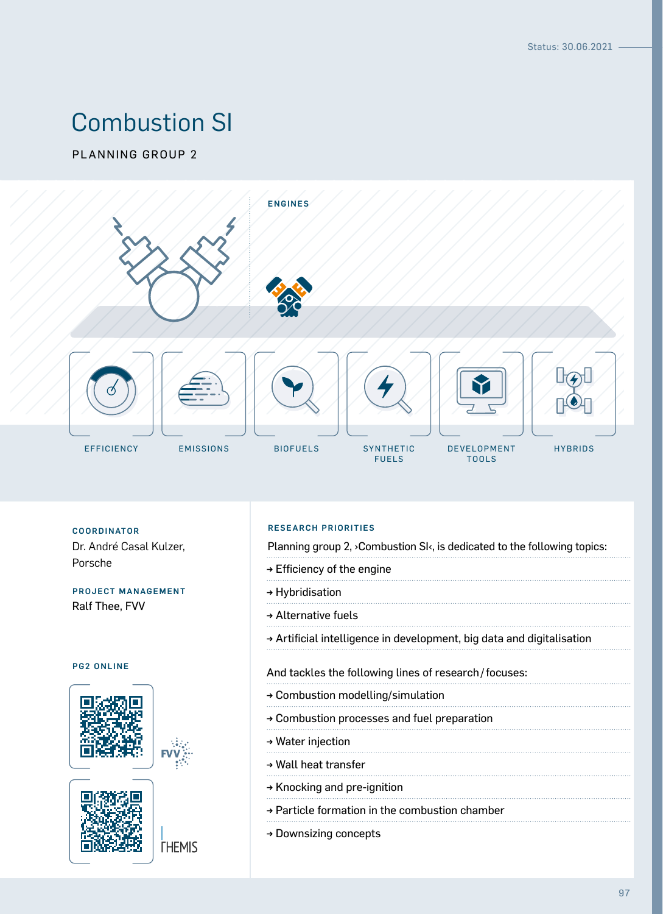# Combustion SI

PLANNING GROUP 2



Dr. André Casal Kulzer, Porsche

#### PROJECT MANAGEMENT Ralf Thee, FVV

#### PG2 ONLINE





**THEMIS** 

#### RESEARCH PRIORITIES COORDINATOR

Planning group 2, ›Combustion SI‹, is dedicated to the following topics:

- → Efficiency of the engine
- → Hybridisation
- → Alternative fuels
- → Artificial intelligence in development, big data and digitalisation

#### And tackles the following lines of research/focuses:

- → Combustion modelling/simulation
- → Combustion processes and fuel preparation
- → Water injection
- → Wall heat transfer
- → Knocking and pre-ignition
- → Particle formation in the combustion chamber
- → Downsizing concepts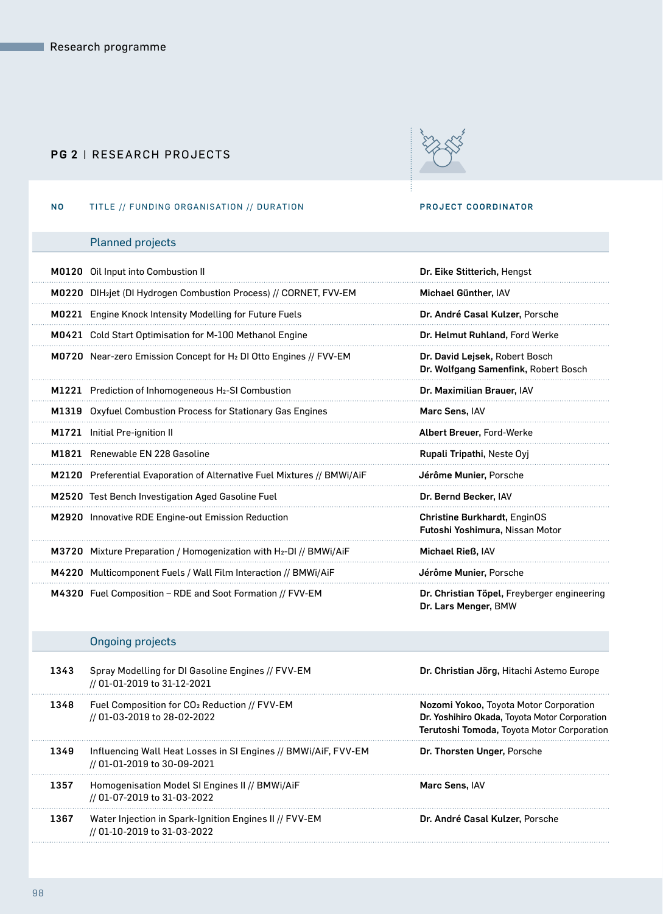#### PG 2 | RESEARCH PROJECTS



#### NO TITLE // FUNDING ORGANISATION // DURATION **PROJECT COORDINATOR**

## Planned projects

| M0120 Oil Input into Combustion II                                             | Dr. Eike Stitterich, Hengst                                            |
|--------------------------------------------------------------------------------|------------------------------------------------------------------------|
| M0220 DIH <sub>2</sub> jet (DI Hydrogen Combustion Process) // CORNET, FVV-EM  | Michael Günther, IAV                                                   |
| <b>M0221</b> Engine Knock Intensity Modelling for Future Fuels                 | Dr. André Casal Kulzer, Porsche                                        |
| <b>M0421</b> Cold Start Optimisation for M-100 Methanol Engine                 | Dr. Helmut Ruhland, Ford Werke                                         |
| M0720 Near-zero Emission Concept for H <sub>2</sub> DI Otto Engines // FVV-EM  | Dr. David Lejsek, Robert Bosch<br>Dr. Wolfgang Samenfink, Robert Bosch |
| M1221 Prediction of Inhomogeneous H <sub>2</sub> -SI Combustion                | Dr. Maximilian Brauer, IAV                                             |
| M1319 Oxyfuel Combustion Process for Stationary Gas Engines                    | Marc Sens, IAV                                                         |
| M1721 Initial Pre-ignition II                                                  | Albert Breuer, Ford-Werke                                              |
| M1821 Renewable EN 228 Gasoline                                                | Rupali Tripathi, Neste Oyj                                             |
| M2120 Preferential Evaporation of Alternative Fuel Mixtures // BMWi/AiF        | Jérôme Munier, Porsche                                                 |
| M2520 Test Bench Investigation Aged Gasoline Fuel                              | Dr. Bernd Becker, IAV                                                  |
| M2920 Innovative RDE Engine-out Emission Reduction                             | <b>Christine Burkhardt, EnginOS</b><br>Futoshi Yoshimura, Nissan Motor |
| M3720 Mixture Preparation / Homogenization with H <sub>2</sub> -DI // BMWi/AiF | Michael Rieß, IAV                                                      |
| M4220 Multicomponent Fuels / Wall Film Interaction // BMWi/AiF                 | Jérôme Munier, Porsche                                                 |
| M4320 Fuel Composition – RDE and Soot Formation // FVV-EM                      | Dr. Christian Töpel, Freyberger engineering<br>Dr. Lars Menger, BMW    |

### Ongoing projects

| Spray Modelling for DI Gasoline Engines // FVV-EM<br>// 01-01-2019 to 31-12-2021              | Dr. Christian Jörg, Hitachi Astemo Europe                                                                                             |
|-----------------------------------------------------------------------------------------------|---------------------------------------------------------------------------------------------------------------------------------------|
| Fuel Composition for CO <sub>2</sub> Reduction // FVV-EM<br>// 01-03-2019 to 28-02-2022       | Nozomi Yokoo, Toyota Motor Corporation<br>Dr. Yoshihiro Okada, Toyota Motor Corporation<br>Terutoshi Tomoda, Toyota Motor Corporation |
| Influencing Wall Heat Losses in SI Engines // BMWi/AiF, FVV-EM<br>// 01-01-2019 to 30-09-2021 | Dr. Thorsten Unger, Porsche                                                                                                           |
| Homogenisation Model SI Engines II // BMWi/AiF<br>// 01-07-2019 to 31-03-2022                 | <b>Marc Sens. IAV</b>                                                                                                                 |
| Water Injection in Spark-Ignition Engines II // FVV-EM<br>// 01-10-2019 to 31-03-2022         | Dr. André Casal Kulzer, Porsche                                                                                                       |
|                                                                                               |                                                                                                                                       |